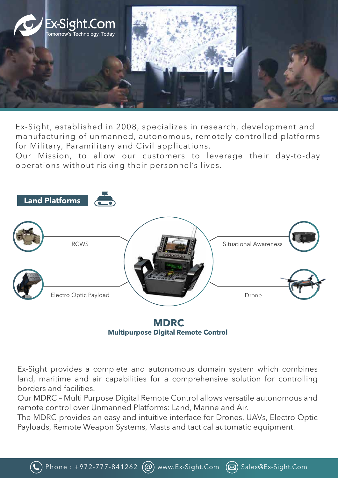

Ex-Sight, established in 2008, specializes in research, development and manufacturing of unmanned, autonomous, remotely controlled platforms for Military, Paramilitary and Civil applications.

Our Mission, to allow our customers to leverage their day-to-day operations without risking their personnel's lives.



**MDRC Multipurpose Digital Remote Control** 

Ex-Sight provides a complete and autonomous domain system which combines land, maritime and air capabilities for a comprehensive solution for controlling borders and facilities.

Our MDRC – Multi Purpose Digital Remote Control allows versatile autonomous and remote control over Unmanned Platforms: Land, Marine and Air.

The MDRC provides an easy and intuitive interface for Drones, UAVs, Electro Optic Payloads, Remote Weapon Systems, Masts and tactical automatic equipment.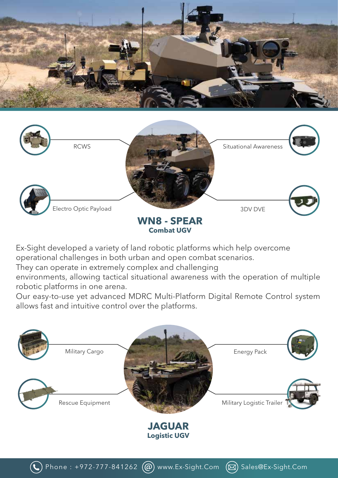



**Combat UGV**

Ex-Sight developed a variety of land robotic platforms which help overcome

operational challenges in both urban and open combat scenarios.

They can operate in extremely complex and challenging

environments, allowing tactical situational awareness with the operation of multiple robotic platforms in one arena.

Our easy-to-use yet advanced MDRC Multi-Platform Digital Remote Control system allows fast and intuitive control over the platforms.

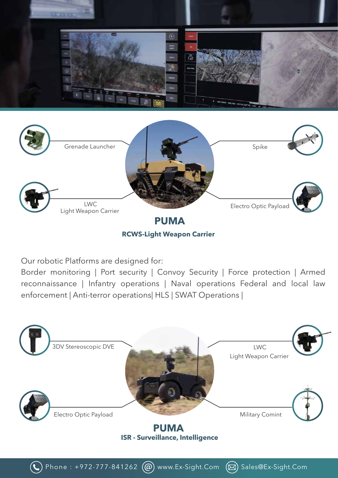



**RCWS-Light Weapon Carrier**

Our robotic Platforms are designed for:

Border monitoring | Port security | Convoy Security | Force protection | Armed reconnaissance | Infantry operations | Naval operations Federal and local law enforcement | Anti-terror operations| HLS | SWAT Operations |